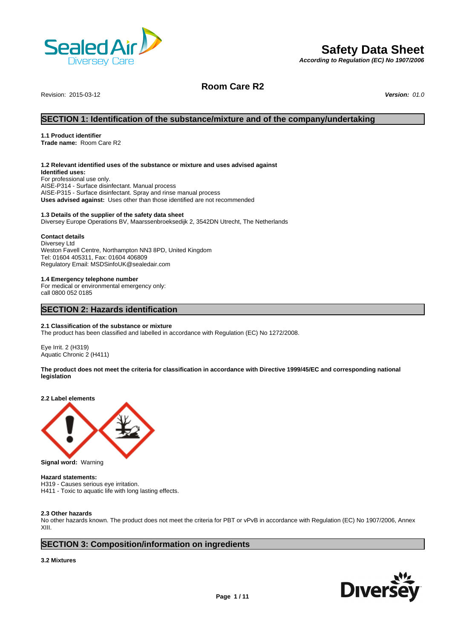

## **Safety Data Sheet**

*According to Regulation (EC) No 1907/2006*

Revision: 2015-03-12 *Version: 01.0*

**Room Care R2**

## **SECTION 1: Identification of the substance/mixture and of the company/undertaking**

### **1.1 Product identifier**

**Trade name:** Room Care R2

#### **1.2 Relevant identified uses of the substance or mixture and uses advised against**

**Identified uses:** For professional use only. AISE-P314 - Surface disinfectant. Manual process AISE-P315 - Surface disinfectant. Spray and rinse manual process **Uses advised against:** Uses other than those identified are not recommended

#### **1.3 Details of the supplier of the safety data sheet**

Diversey Europe Operations BV, Maarssenbroeksedijk 2, 3542DN Utrecht, The Netherlands

### **Contact details**

Diversey Ltd Weston Favell Centre, Northampton NN3 8PD, United Kingdom Tel: 01604 405311, Fax: 01604 406809 Regulatory Email: MSDSinfoUK@sealedair.com

#### **1.4 Emergency telephone number**

For medical or environmental emergency only: call 0800 052 0185

## **SECTION 2: Hazards identification**

#### **2.1 Classification of the substance or mixture**

The product has been classified and labelled in accordance with Regulation (EC) No 1272/2008.

Eye Irrit. 2 (H319) Aquatic Chronic 2 (H411)

### **The product does not meet the criteria for classification in accordance with Directive 1999/45/EC and corresponding national legislation**

**2.2 Label elements**



**Hazard statements:** 

H319 - Causes serious eye irritation. H411 - Toxic to aquatic life with long lasting effects.

#### **2.3 Other hazards**

No other hazards known. The product does not meet the criteria for PBT or vPvB in accordance with Regulation (EC) No 1907/2006, Annex XIII.

## **SECTION 3: Composition/information on ingredients**

#### **3.2 Mixtures**

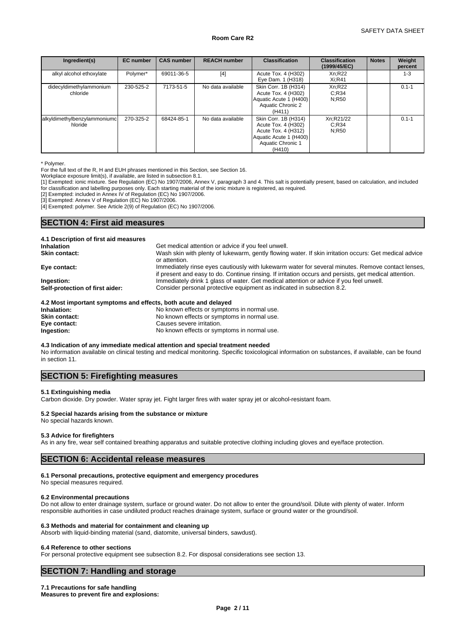| Ingredient(s)                           | <b>EC</b> number | <b>CAS number</b> | <b>REACH number</b> | <b>Classification</b>                                                                                                       | <b>Classification</b><br>(1999/45/EC) | <b>Notes</b> | Weight<br>percent |
|-----------------------------------------|------------------|-------------------|---------------------|-----------------------------------------------------------------------------------------------------------------------------|---------------------------------------|--------------|-------------------|
| alkyl alcohol ethoxylate                | Polymer*         | 69011-36-5        | [4]                 | Acute Tox. 4 (H302)<br>Eye Dam. 1 (H318)                                                                                    | Xn:R22<br>$Xi:$ R41                   |              | $1 - 3$           |
| didecyldimethylammonium<br>chloride     | 230-525-2        | 7173-51-5         | No data available   | Skin Corr. 1B (H314)<br>Acute Tox. 4 (H302)<br>Aquatic Acute 1 (H400)<br>Aquatic Chronic 2<br>(H411)                        | Xn;R22<br>C:R34<br>N:R50              |              | $0.1 - 1$         |
| alkyldimethylbenzylammoniumc<br>hloride | 270-325-2        | 68424-85-1        | No data available   | Skin Corr. 1B (H314)<br>Acute Tox. 4 (H302)<br>Acute Tox. 4 (H312)<br>Aquatic Acute 1 (H400)<br>Aquatic Chronic 1<br>(H410) | Xn;R21/22<br>C:R34<br>N:R50           |              | $0.1 - 1$         |

\* Polymer.

For the full text of the R, H and EUH phrases mentioned in this Section, see Section 16.

Workplace exposure limit(s), if available, are listed in subsection 8.1.

[1] Exempted: ionic mixture. See Regulation (EC) No 1907/2006, Annex V, paragraph 3 and 4. This salt is potentially present, based on calculation, and included for classification and labelling purposes only. Each starting material of the ionic mixture is registered, as required.

[2] Exempted: included in Annex IV of Regulation (EC) No 1907/2006.

[3] Exempted: Annex V of Regulation (EC) No 1907/2006.

[4] Exempted: polymer. See Article 2(9) of Regulation (EC) No 1907/2006.

## **SECTION 4: First aid measures**

| 4.1 Description of first aid measures                           |                                                                                                                                                                                                             |
|-----------------------------------------------------------------|-------------------------------------------------------------------------------------------------------------------------------------------------------------------------------------------------------------|
| <b>Inhalation</b>                                               | Get medical attention or advice if you feel unwell.                                                                                                                                                         |
| <b>Skin contact:</b>                                            | Wash skin with plenty of lukewarm, gently flowing water. If skin irritation occurs: Get medical advice<br>or attention.                                                                                     |
| Eye contact:                                                    | Immediately rinse eyes cautiously with lukewarm water for several minutes. Remove contact lenses,<br>if present and easy to do. Continue rinsing. If irritation occurs and persists, get medical attention. |
| Ingestion:                                                      | Immediately drink 1 glass of water. Get medical attention or advice if you feel unwell.                                                                                                                     |
| Self-protection of first aider:                                 | Consider personal protective equipment as indicated in subsection 8.2.                                                                                                                                      |
| 4.2 Most important symptoms and effects, both acute and delayed |                                                                                                                                                                                                             |

| Inhalation:          | No known effects or symptoms in normal use. |
|----------------------|---------------------------------------------|
| <b>Skin contact:</b> | No known effects or symptoms in normal use. |
| Eye contact:         | Causes severe irritation.                   |
| Ingestion:           | No known effects or symptoms in normal use. |

**4.3 Indication of any immediate medical attention and special treatment needed**

No information available on clinical testing and medical monitoring. Specific toxicological information on substances, if available, can be found in section 11.

## **SECTION 5: Firefighting measures**

#### **5.1 Extinguishing media**

Carbon dioxide. Dry powder. Water spray jet. Fight larger fires with water spray jet or alcohol-resistant foam.

## **5.2 Special hazards arising from the substance or mixture**

#### No special hazards known.

#### **5.3 Advice for firefighters**

As in any fire, wear self contained breathing apparatus and suitable protective clothing including gloves and eye/face protection.

## **SECTION 6: Accidental release measures**

## **6.1 Personal precautions, protective equipment and emergency procedures**

No special measures required.

## **6.2 Environmental precautions**

Do not allow to enter drainage system, surface or ground water. Do not allow to enter the ground/soil. Dilute with plenty of water. Inform responsible authorities in case undiluted product reaches drainage system, surface or ground water or the ground/soil.

## **6.3 Methods and material for containment and cleaning up**

Absorb with liquid-binding material (sand, diatomite, universal binders, sawdust).

## **6.4 Reference to other sections**

For personal protective equipment see subsection 8.2. For disposal considerations see section 13.

## **SECTION 7: Handling and storage**

#### **7.1 Precautions for safe handling Measures to prevent fire and explosions:**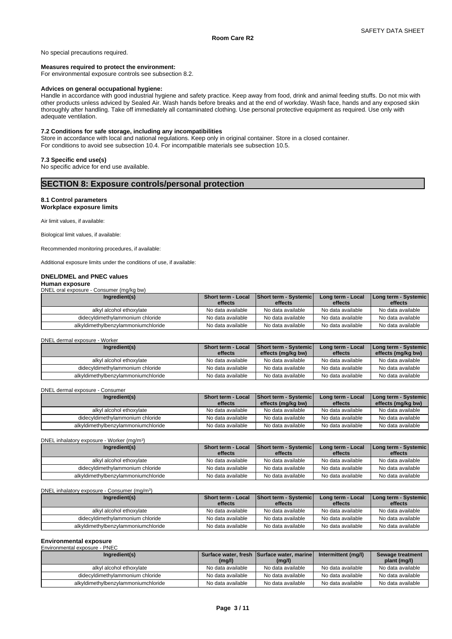No special precautions required.

#### **Measures required to protect the environment:**

For environmental exposure controls see subsection 8.2.

#### **Advices on general occupational hygiene:**

Handle in accordance with good industrial hygiene and safety practice. Keep away from food, drink and animal feeding stuffs. Do not mix with other products unless adviced by Sealed Air. Wash hands before breaks and at the end of workday. Wash face, hands and any exposed skin thoroughly after handling. Take off immediately all contaminated clothing. Use personal protective equipment as required. Use only with adequate ventilation.

**Room Care R2**

#### **7.2 Conditions for safe storage, including any incompatibilities**

Store in accordance with local and national regulations. Keep only in original container. Store in a closed container. For conditions to avoid see subsection 10.4. For incompatible materials see subsection 10.5.

#### **7.3 Specific end use(s)**

No specific advice for end use available.

## **SECTION 8: Exposure controls/personal protection**

 $)$ 

#### **8.1 Control parameters**

**Workplace exposure limits**

Air limit values, if available:

Biological limit values, if available:

Recommended monitoring procedures, if available:

Additional exposure limits under the conditions of use, if available:

#### **DNEL/DMEL and PNEC values**

## **Human exposure**

DNEL oral exposure - Consumer (mg/kg bw)

| Ingredient(s)                       | Short term - Local | <b>Short term - Systemic</b> | Long term - Local | Long term - Systemic |
|-------------------------------------|--------------------|------------------------------|-------------------|----------------------|
|                                     | effects            | effects                      | effects           | effects              |
| alkyl alcohol ethoxylate            | No data available  | No data available            | No data available | No data available    |
| didecyldimethylammonium chloride    | No data available  | No data available            | No data available | No data available    |
| alkyldimethylbenzylammoniumchloride | No data available  | No data available            | No data available | No data available    |

#### DNEL dermal exposure - Worker

| Ingredient(s)                       | <b>Short term - Local</b><br>effects | Short term - Systemic<br>effects (mg/kg bw) | Long term - Local<br>effects | Long term - Systemic  <br>effects (mg/kg bw) |
|-------------------------------------|--------------------------------------|---------------------------------------------|------------------------------|----------------------------------------------|
| alkyl alcohol ethoxylate            | No data available                    | No data available                           | No data available            | No data available                            |
| didecyldimethylammonium chloride    | No data available                    | No data available                           | No data available            | No data available                            |
| alkyldimethylbenzylammoniumchloride | No data available                    | No data available                           | No data available            | No data available                            |

#### DNEL dermal exposure - Consumer

| Ingredient(s)                       | <b>Short term - Local</b><br>effects | <b>Short term - Systemic</b><br>effects (mg/kg bw) | Long term - Local<br>effects | Long term - Systemic  <br>effects (mg/kg bw) |
|-------------------------------------|--------------------------------------|----------------------------------------------------|------------------------------|----------------------------------------------|
| alkyl alcohol ethoxylate            | No data available                    | No data available                                  | No data available            | No data available                            |
| didecyldimethylammonium chloride    | No data available                    | No data available                                  | No data available            | No data available                            |
| alkyldimethylbenzylammoniumchloride | No data available                    | No data available                                  | No data available            | No data available                            |

DNEL inhalatory exposure - Worker (mg/m<sup>3</sup>)

| Ingredient(s)                       | <b>Short term - Local</b><br>effects | <b>Short term - Systemic</b><br>effects | Long term - Local<br>effects | Long term - Systemic  <br>effects |
|-------------------------------------|--------------------------------------|-----------------------------------------|------------------------------|-----------------------------------|
| alkyl alcohol ethoxylate            | No data available                    | No data available                       | No data available            | No data available                 |
| didecyldimethylammonium chloride    | No data available                    | No data available                       | No data available            | No data available                 |
| alkyldimethylbenzylammoniumchloride | No data available                    | No data available                       | No data available            | No data available                 |

DNEL inhalatory exposure - Consumer (mg/m<sup>3</sup>) )

| Ingredient(s)                       | <b>Short term - Local</b> | <b>Short term - Systemic</b> | Long term - Local | Long term - Systemic |
|-------------------------------------|---------------------------|------------------------------|-------------------|----------------------|
|                                     | effects                   | effects                      | effects           | effects              |
| alkyl alcohol ethoxylate            | No data available         | No data available            | No data available | No data available    |
| didecyldimethylammonium chloride    | No data available         | No data available            | No data available | No data available    |
| alkyldimethylbenzylammoniumchloride | No data available         | No data available            | No data available | No data available    |

## **Environmental exposure**

| Environmental exposure - PNEC       |                   |                                                      |                     |                                  |
|-------------------------------------|-------------------|------------------------------------------------------|---------------------|----------------------------------|
| Ingredient(s)                       | (mg/l)            | Surface water, fresh Surface water, marine<br>(mg/l) | Intermittent (mg/l) | Sewage treatment<br>plant (mg/l) |
| alkvl alcohol ethoxvlate            | No data available | No data available                                    | No data available   | No data available                |
| didecyldimethylammonium chloride    | No data available | No data available                                    | No data available   | No data available                |
| alkyldimethylbenzylammoniumchloride | No data available | No data available                                    | No data available   | No data available                |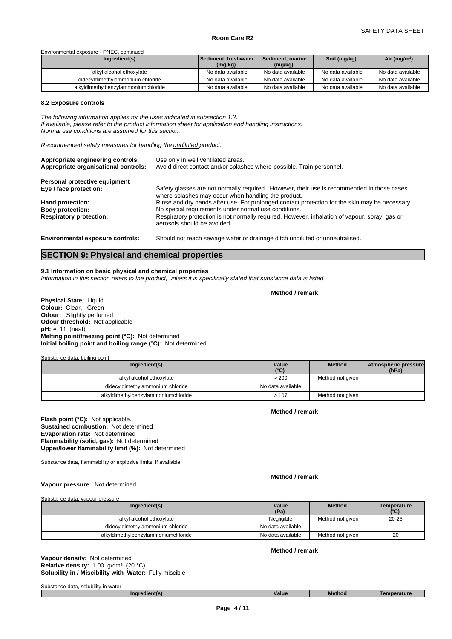#### Environmental exposure - PNEC, continued

| Ingredient(s)                       | <b>Sediment, freshwater V</b> | Sediment, marine  | Soil (mg/kg)      | Air (mg/m <sup>3</sup> ) |
|-------------------------------------|-------------------------------|-------------------|-------------------|--------------------------|
|                                     | (mg/kg)                       | (mg/kg)           |                   |                          |
| alkyl alcohol ethoxylate            | No data available             | No data available | No data available | No data available        |
| didecyldimethylammonium chloride    | No data available             | No data available | No data available | No data available        |
| alkyldimethylbenzylammoniumchloride | No data available             | No data available | No data available | No data available        |

#### **8.2 Exposure controls**

*The following information applies for the uses indicated in subsection 1.2. If available, please refer to the product information sheet for application and handling instructions. Normal use conditions are assumed for this section.*

*Recommended safety measures for handling the undiluted product:*

| Appropriate engineering controls:<br>Appropriate organisational controls: | Use only in well ventilated areas.<br>Avoid direct contact and/or splashes where possible. Train personnel.                                       |
|---------------------------------------------------------------------------|---------------------------------------------------------------------------------------------------------------------------------------------------|
| Personal protective equipment                                             |                                                                                                                                                   |
| Eye / face protection:                                                    | Safety glasses are not normally required. However, their use is recommended in those cases<br>where splashes may occur when handling the product. |
| Hand protection:                                                          | Rinse and dry hands after use. For prolonged contact protection for the skin may be necessary.                                                    |
| <b>Body protection:</b>                                                   | No special requirements under normal use conditions.                                                                                              |
| <b>Respiratory protection:</b>                                            | Respiratory protection is not normally required. However, inhalation of vapour, spray, gas or<br>aerosols should be avoided.                      |
| <b>Environmental exposure controls:</b>                                   | Should not reach sewage water or drainage ditch undiluted or unneutralised.                                                                       |

## **SECTION 9: Physical and chemical properties**

#### **9.1 Information on basic physical and chemical properties**

*Information in this section refers to the product, unless it is specifically stated that substance data is listed*

**Method / remark**

**Physical State:** Liquid **Colour:** Clear, Green **Odour:** Slightly perfumed **Odour threshold:** Not applicable **pH:** ≈ 11 (neat) **Melting point/freezing point (°C):** Not determined **Initial boiling point and boiling range (°C):** Not determined

Substance data, boiling point

| Ingredient(s)                       | Value<br>10(1)<br>. . | Method           | <b>Atmospheric pressure</b><br>(hPa) |  |
|-------------------------------------|-----------------------|------------------|--------------------------------------|--|
| alkyl alcohol ethoxylate            | > 200                 | Method not given |                                      |  |
| didecyldimethylammonium chloride    | No data available     |                  |                                      |  |
| alkyldimethylbenzylammoniumchloride | >107                  | Method not given |                                      |  |

**Method / remark**

**Flash point (°C):** Not applicable. **Sustained combustion:** Not determined **Evaporation rate:** Not determined **Flammability (solid, gas):** Not determined **Upper/lower flammability limit (%):** Not determined

Substance data, flammability or explosive limits, if available:

**Method / remark**

**Vapour pressure:** Not determined

Substance data, vapour pressure

| Ingredient(s)                       | Value<br>(Pa)     | <b>Method</b>    | Temperature<br>(°C) |
|-------------------------------------|-------------------|------------------|---------------------|
| alkyl alcohol ethoxylate            | Negligible        | Method not aiven | $20 - 25$           |
| didecyldimethylammonium chloride    | No data available |                  |                     |
| alkyldimethylbenzylammoniumchloride | No data available | Method not aiven | 20                  |

**Method / remark**

**Solubility in / Miscibility with Water:** Fully miscible **Vapour density:** Not determined **Relative density:** 1.00 g/cm³ (20 °C)

| <br>$\sim$<br>Substance<br>solubility in water<br>→ data.<br>. SO |               |       |        |          |
|-------------------------------------------------------------------|---------------|-------|--------|----------|
|                                                                   | Ingredient(s) | Value | Method | nerature |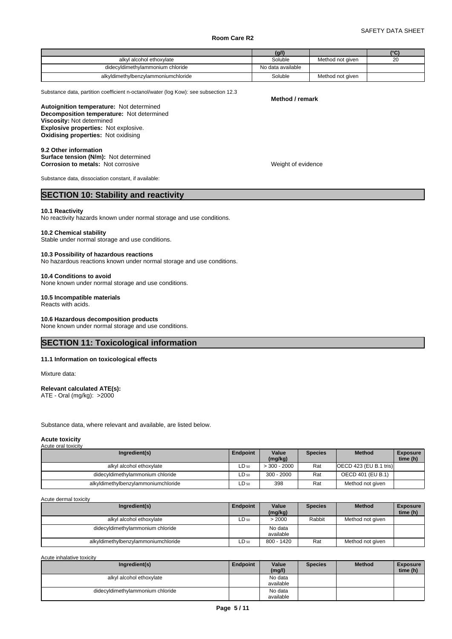|                                     | (g/l)             |                  | $10^{\circ}$ |  |
|-------------------------------------|-------------------|------------------|--------------|--|
| alkyl alcohol ethoxylate            | Soluble           | Method not given | 20           |  |
| didecyldimethylammonium chloride    | No data available |                  |              |  |
| alkyldimethylbenzylammoniumchloride | Soluble           | Method not given |              |  |

Substance data, partition coefficient n-octanol/water (log Kow): see subsection 12.3

**Decomposition temperature:** Not determined **Autoignition temperature:** Not determined **Viscosity:** Not determined **Explosive properties:** Not explosive. **Oxidising properties:** Not oxidising

**9.2 Other information Surface tension (N/m):** Not determined **Corrosion to metals:** Not corrosive Weight of evidence

Substance data, dissociation constant, if available:

## **SECTION 10: Stability and reactivity**

#### **10.1 Reactivity**

No reactivity hazards known under normal storage and use conditions.

#### **10.2 Chemical stability**

Stable under normal storage and use conditions.

#### **10.3 Possibility of hazardous reactions**

No hazardous reactions known under normal storage and use conditions.

#### **10.4 Conditions to avoid**

None known under normal storage and use conditions.

#### **10.5 Incompatible materials**

Reacts with acids.

#### **10.6 Hazardous decomposition products**

None known under normal storage and use conditions.

## **SECTION 11: Toxicological information**

#### **11.1 Information on toxicological effects**

Mixture data:

#### **Relevant calculated ATE(s):** ATE - Oral (mg/kg): >2000

Substance data, where relevant and available, are listed below.

#### **Acute toxicity** Acute oral toxicity

| Ingredient(s)                       | <b>Endpoint</b>  | Value<br>(mg/kg) | <b>Species</b> | <b>Method</b>            | <b>Exposure</b><br>time (h) |
|-------------------------------------|------------------|------------------|----------------|--------------------------|-----------------------------|
| alkyl alcohol ethoxylate            | LD <sub>50</sub> | $>$ 300 - 2000   | Rat            | [OECD 423 (EU B.1 tris)] |                             |
| didecyldimethylammonium chloride    | $LD_{50}$        | $300 - 2000$     | Rat            | OECD 401 (EU B.1)        |                             |
| alkyldimethylbenzylammoniumchloride | $LD_{50}$        | 398              | Rat            | Method not given         |                             |

Acute dermal toxicity

| Ingredient(s)                       | Endpoint  | Value<br>(mg/kg)     | <b>Species</b> | <b>Method</b>    | <b>Exposure</b><br>time (h) |
|-------------------------------------|-----------|----------------------|----------------|------------------|-----------------------------|
| alkyl alcohol ethoxylate            | $LD_{50}$ | > 2000               | Rabbit         | Method not given |                             |
| didecyldimethylammonium chloride    |           | No data<br>available |                |                  |                             |
| alkyldimethylbenzylammoniumchloride | $LD_{50}$ | 800 - 1420           | Rat            | Method not given |                             |

Acute inhalative toxicity

| Ingredient(s)                    | Endpoint | Value<br>(mg/l)      | <b>Species</b> | <b>Method</b> | <b>Exposure</b><br>time (h) |  |
|----------------------------------|----------|----------------------|----------------|---------------|-----------------------------|--|
| alkyl alcohol ethoxylate         |          | No data<br>available |                |               |                             |  |
| didecyldimethylammonium chloride |          | No data<br>available |                |               |                             |  |

# **Method / remark**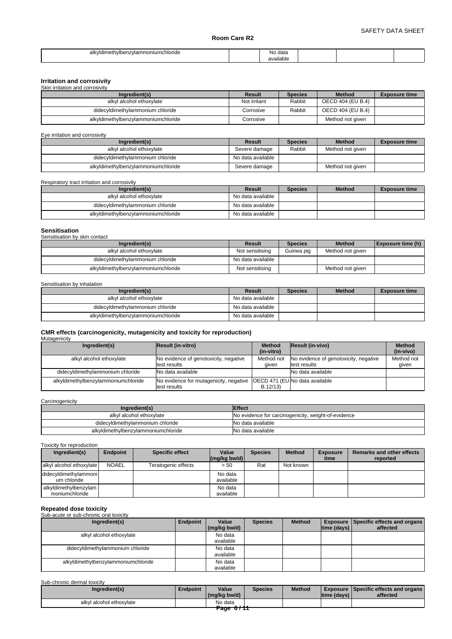| alkvidimethylb<br>hiumchloride<br>ammon<br>penzvia | $A \cap I$<br>NO.<br>uaia |  |  |
|----------------------------------------------------|---------------------------|--|--|
|                                                    | available                 |  |  |

## **Irritation and corrosivity** Skin irritation and corrosivity

| <b>ONIT ILLIGHOLL GEIG COLLUSIVILY</b> |              |                |                   |                      |
|----------------------------------------|--------------|----------------|-------------------|----------------------|
| Ingredient(s)                          | Result       | <b>Species</b> | <b>Method</b>     | <b>Exposure time</b> |
| alkyl alcohol ethoxylate               | Not irritant | Rabbit         | OECD 404 (EU B.4) |                      |
| didecyldimethylammonium chloride       | Corrosive    | Rabbit         | OECD 404 (EU B.4) |                      |
| alkyldimethylbenzylammoniumchloride    | Corrosive    |                | Method not given  |                      |

#### Eye irritation and corrosivity

| Ingredient(s)                       | Result            | <b>Species</b> | <b>Method</b>    | <b>Exposure time</b> |
|-------------------------------------|-------------------|----------------|------------------|----------------------|
| alkyl alcohol ethoxylate            | Severe damage     | Rabbit         | Method not given |                      |
| didecyldimethylammonium chloride    | No data available |                |                  |                      |
| alkyldimethylbenzylammoniumchloride | Severe damage     |                | Method not given |                      |

Respiratory tract irritation and corrosivity

| Ingredient(s)                       | Result            | <b>Species</b> | <b>Method</b> | <b>Exposure time</b> |
|-------------------------------------|-------------------|----------------|---------------|----------------------|
| alkyl alcohol ethoxylate            | No data available |                |               |                      |
| didecyldimethylammonium chloride    | No data available |                |               |                      |
| alkyldimethylbenzylammoniumchloride | No data available |                |               |                      |

# **Sensitisation**

| _________________<br>Sensitisation by skin contact |                   |                |                  |                          |
|----------------------------------------------------|-------------------|----------------|------------------|--------------------------|
| Ingredient(s)                                      | Result            | <b>Species</b> | <b>Method</b>    | <b>Exposure time (h)</b> |
| alkyl alcohol ethoxylate                           | Not sensitising   | Guinea pig     | Method not given |                          |
| didecyldimethylammonium chloride                   | No data available |                |                  |                          |
| alkyldimethylbenzylammoniumchloride                | Not sensitising   |                | Method not given |                          |

Sensitisation by inhalation

| Ingredient(s)                       | Result            | <b>Species</b> | <b>Method</b> | <b>Exposure time</b> |
|-------------------------------------|-------------------|----------------|---------------|----------------------|
| alkyl alcohol ethoxylate            | No data available |                |               |                      |
| didecyldimethylammonium chloride    | No data available |                |               |                      |
| alkyldimethylbenzylammoniumchloride | No data available |                |               |                      |

#### **CMR effects (carcinogenicity, mutagenicity and toxicity for reproduction) Mutagenicity**

| <b>Result (in-vitro)</b>              | <b>Method</b> | <b>Method</b>                                                                                                                                                                                            |
|---------------------------------------|---------------|----------------------------------------------------------------------------------------------------------------------------------------------------------------------------------------------------------|
|                                       | (in-vitro)    | (in-vivo)                                                                                                                                                                                                |
| No evidence of genotoxicity, negative | Method not    | Method not                                                                                                                                                                                               |
| test results                          | aiven         | given                                                                                                                                                                                                    |
| No data available                     |               |                                                                                                                                                                                                          |
|                                       |               |                                                                                                                                                                                                          |
|                                       |               | <b>Result (in-vivo)</b><br>No evidence of genotoxicity, negative<br>test results<br>No data available<br>No evidence for mutagenicity, negative OECD 471 (EUNo data available<br>test results<br>B.12/13 |

### **Carcinogenicity**

| Ingredient(s)                       | <b>Effect</b>                                       |
|-------------------------------------|-----------------------------------------------------|
| alkyl alcohol ethoxylate            | No evidence for carcinogenicity, weight-of-evidence |
| didecyldimethylammonium chloride    | No data available                                   |
| alkyldimethylbenzylammoniumchloride | No data available                                   |

Toxicity for reproduction

| Ingredient(s)                           | <b>Endpoint</b> | <b>Specific effect</b> | Value                | <b>Species</b> | <b>Method</b> | <b>Exposure</b> | <b>Remarks and other effects</b> |
|-----------------------------------------|-----------------|------------------------|----------------------|----------------|---------------|-----------------|----------------------------------|
|                                         |                 |                        | $(mq/kg$ bw/d)       |                |               | time            | reported                         |
| alkyl alcohol ethoxylate                | <b>NOAEL</b>    | Teratogenic effects    | > 50                 | Rat            | Not known     |                 |                                  |
| didecyldimethylammoni<br>um chloride    |                 |                        | No data<br>available |                |               |                 |                                  |
| alkyldimethylbenzylam<br>moniumchloride |                 |                        | No data<br>available |                |               |                 |                                  |

## **Repeated dose toxicity** Sub-acute or sub-chronic oral toxicity

| <u>UUU-ACULE OF SUD-CHIUHIC UTAL IUAICILY</u> |          |              |                |               |                    |                                                 |
|-----------------------------------------------|----------|--------------|----------------|---------------|--------------------|-------------------------------------------------|
| Ingredient(s)                                 | Endpoint | Value        | <b>Species</b> | <b>Method</b> |                    | <b>Exposure   Specific effects and organs  </b> |
|                                               |          | (mg/kg bw/d) |                |               | $ time$ (days) $ $ | affected                                        |
| alkyl alcohol ethoxylate                      |          | No data      |                |               |                    |                                                 |
|                                               |          | available    |                |               |                    |                                                 |
| didecyldimethylammonium chloride              |          | No data      |                |               |                    |                                                 |
|                                               |          | available    |                |               |                    |                                                 |
| alkyldimethylbenzylammoniumchloride           |          | No data      |                |               |                    |                                                 |
|                                               |          | available    |                |               |                    |                                                 |

#### Sub-chronic dermal toxicity

| Ingredient(s)            | Endpoint | Value        | <b>Species</b> | <b>Method</b> |              | <b>Exposure Specific effects and organs L</b> |
|--------------------------|----------|--------------|----------------|---------------|--------------|-----------------------------------------------|
|                          |          | (mg/kg bw/d) |                |               | Itime (davs) | affected                                      |
| alkyl alcohol ethoxylate |          | No data<br>. |                |               |              |                                               |
|                          |          | Page 67TT    |                |               |              |                                               |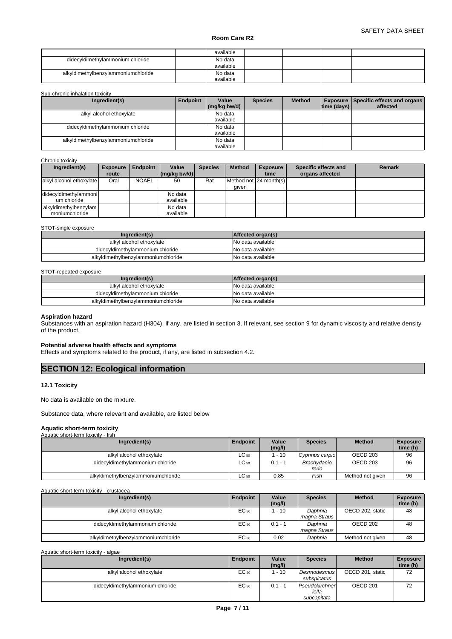|                                     | available            |  |  |
|-------------------------------------|----------------------|--|--|
| didecyldimethylammonium chloride    | No data<br>available |  |  |
| alkyldimethylbenzylammoniumchloride | No data<br>available |  |  |

#### Sub-chronic inhalation toxicity

| Ingredient(s)                       | Endpoint | Value<br>(mg/kg bw/d) | <b>Species</b> | <b>Method</b> | $ time$ (days) $ $ | <b>Exposure   Specific effects and organs  </b><br>affected |
|-------------------------------------|----------|-----------------------|----------------|---------------|--------------------|-------------------------------------------------------------|
| alkyl alcohol ethoxylate            |          | No data<br>available  |                |               |                    |                                                             |
| didecyldimethylammonium chloride    |          | No data<br>available  |                |               |                    |                                                             |
| alkyldimethylbenzylammoniumchloride |          | No data<br>available  |                |               |                    |                                                             |

#### Chronic toxicity

| Ingredient(s)            | <b>Exposure</b> | <b>Endpoint</b> | Value                                                   | <b>Species</b> | <b>Method</b> | <b>Exposure</b>               | Specific effects and | <b>Remark</b> |
|--------------------------|-----------------|-----------------|---------------------------------------------------------|----------------|---------------|-------------------------------|----------------------|---------------|
|                          | route           |                 | $\left \frac{\text{mg}}{\text{kg}}\right $ (mg/kg bw/d) |                |               | time                          | organs affected      |               |
| alkyl alcohol ethoxylate | Oral            | <b>NOAEL</b>    | 50                                                      | Rat            |               | Method not <b>24</b> month(s) |                      |               |
|                          |                 |                 |                                                         |                | aiven         |                               |                      |               |
| didecyldimethylammoni    |                 |                 | No data                                                 |                |               |                               |                      |               |
| um chloride              |                 |                 | available                                               |                |               |                               |                      |               |
| alkyldimethylbenzylam    |                 |                 | No data                                                 |                |               |                               |                      |               |
| moniumchloride           |                 |                 | available                                               |                |               |                               |                      |               |

#### STOT-single exposure

| Ingredient(s)                       | Affected organ(s) |
|-------------------------------------|-------------------|
| alkyl alcohol ethoxylate            | No data available |
| didecyldimethylammonium chloride    | No data available |
| alkyldimethylbenzylammoniumchloride | No data available |

#### STOT-repeated exposure

| Ingredient(s)                       | Affected organ(s) |
|-------------------------------------|-------------------|
| alkyl alcohol ethoxylate            | No data available |
| didecyldimethylammonium chloride    | No data available |
| alkyldimethylbenzylammoniumchloride | No data available |

#### **Aspiration hazard**

Substances with an aspiration hazard (H304), if any, are listed in section 3. If relevant, see section 9 for dynamic viscosity and relative density of the product.

#### **Potential adverse health effects and symptoms**

Effects and symptoms related to the product, if any, are listed in subsection 4.2.

## **SECTION 12: Ecological information**

## **12.1 Toxicity**

No data is available on the mixture.

Substance data, where relevant and available, are listed below

## **Aquatic short-term toxicity** Aquatic short-term toxicity - fish

| Ingredient(s)                       | <b>Endpoint</b> | Value<br>(mg/l) | <b>Species</b>       | <b>Method</b>    | <b>Exposure</b><br>time (h) |
|-------------------------------------|-----------------|-----------------|----------------------|------------------|-----------------------------|
| alkyl alcohol ethoxylate            | $LC_{50}$       | $-10$           | Cyprinus carpio      | OECD 203         | 96                          |
| didecyldimethylammonium chloride    | $LC_{50}$       | $0.1 - 1$       | Brachvdanio<br>rerio | OECD 203         | 96                          |
| alkyldimethylbenzylammoniumchloride | $LC_{50}$       | 0.85            | Fish                 | Method not given | 96                          |

Aquatic short-term toxicity - crustacea

| Ingredient(s)                       | Endpoint | Value<br>(mg/l) | <b>Species</b>          | <b>Method</b>    | <b>Exposure</b><br>time (h) |
|-------------------------------------|----------|-----------------|-------------------------|------------------|-----------------------------|
| alkyl alcohol ethoxylate            | EC 50    | 1 - 10          | Daphnia<br>magna Straus | OECD 202, static | 48                          |
| didecyldimethylammonium chloride    | EC 50    | $0.1 - 1$       | Daphnia<br>magna Straus | OECD 202         | 48                          |
| alkyldimethylbenzylammoniumchloride | EC 50    | 0.02            | Daphnia                 | Method not given | 48                          |

| Aquatic short-term toxicity - algae |  |
|-------------------------------------|--|
|-------------------------------------|--|

| Ingredient(s)                    | <b>Endpoint</b> | Value<br>(mg/l) | <b>Species</b>                         | <b>Method</b>       | <b>Exposure</b><br>time (h) |
|----------------------------------|-----------------|-----------------|----------------------------------------|---------------------|-----------------------------|
| alkyl alcohol ethoxylate         | EC 50           | $-10$           | <b>Desmodesmus</b><br>subspicatus      | OECD 201, static    | 72                          |
| didecyldimethylammonium chloride | EC 50           | $0.1 - 1$       | Pseudokirchner<br>iella<br>subcapitata | OECD <sub>201</sub> | 72                          |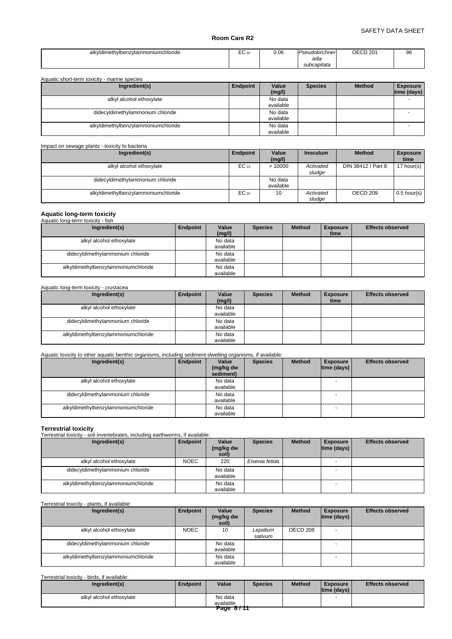| alky<br>vidimethylbenzylammoniumchloride | $\sqrt{2}$<br>ヒし 50<br>$ -$ | 0.06<br>. | Pseudokirchner<br>iella<br>subcapitata | OECD <sub>201</sub> | 96 |
|------------------------------------------|-----------------------------|-----------|----------------------------------------|---------------------|----|
|------------------------------------------|-----------------------------|-----------|----------------------------------------|---------------------|----|

| Aquatic short-term toxicity - marine species |          |                      |                |               |                                |
|----------------------------------------------|----------|----------------------|----------------|---------------|--------------------------------|
| Ingredient(s)                                | Endpoint | Value<br>(mg/l)      | <b>Species</b> | <b>Method</b> | <b>Exposure</b><br>time (days) |
| alkyl alcohol ethoxylate                     |          | No data<br>available |                |               |                                |
| didecyldimethylammonium chloride             |          | No data<br>available |                |               |                                |
| alkyldimethylbenzylammoniumchloride          |          | No data<br>available |                |               |                                |

| Impact on sewage plants - toxicity to bacteria |           |                      |                     |                     |                         |
|------------------------------------------------|-----------|----------------------|---------------------|---------------------|-------------------------|
| Ingredient(s)                                  | Endpoint  | Value<br>(mg/l)      | <b>Inoculum</b>     | <b>Method</b>       | <b>Exposure</b><br>time |
| alkyl alcohol ethoxylate                       | $EC_{10}$ | >10000               | Activated<br>sludge | DIN 38412 / Part 8  | 17 hour(s) $\vert$      |
| didecyldimethylammonium chloride               |           | No data<br>available |                     |                     |                         |
| alkyldimethylbenzylammoniumchloride            | $EC_{20}$ | 10                   | Activated<br>sludge | OECD <sub>209</sub> | $0.5$ hour(s)           |

## **Aquatic long-term toxicity**

| Aquatic long-term toxicity - fish   |          |                      |                |               |                         |                         |
|-------------------------------------|----------|----------------------|----------------|---------------|-------------------------|-------------------------|
| Ingredient(s)                       | Endpoint | Value<br>(mg/l)      | <b>Species</b> | <b>Method</b> | <b>Exposure</b><br>time | <b>Effects observed</b> |
| alkyl alcohol ethoxylate            |          | No data<br>available |                |               |                         |                         |
| didecyldimethylammonium chloride    |          | No data<br>available |                |               |                         |                         |
| alkyldimethylbenzylammoniumchloride |          | No data<br>available |                |               |                         |                         |

#### Aquatic long-term toxicity - crustacea

| Ingredient(s)                       | Endpoint | Value<br>(mg/l) | <b>Species</b> | <b>Method</b> | <b>Exposure</b><br>time | <b>Effects observed</b> |
|-------------------------------------|----------|-----------------|----------------|---------------|-------------------------|-------------------------|
| alkyl alcohol ethoxylate            |          | No data         |                |               |                         |                         |
|                                     |          | available       |                |               |                         |                         |
| didecyldimethylammonium chloride    |          | No data         |                |               |                         |                         |
|                                     |          | available       |                |               |                         |                         |
| alkyldimethylbenzylammoniumchloride |          | No data         |                |               |                         |                         |
|                                     |          | available       |                |               |                         |                         |

## Aquatic toxicity to other aquatic benthic organisms, including sediment-dwelling organisms, if available:

| Ingredient(s)                       | Endpoint | Value<br>(mg/kg dw<br>sediment) | <b>Species</b> | <b>Method</b> | <b>Exposure</b><br> time (days) | <b>Effects observed</b> |
|-------------------------------------|----------|---------------------------------|----------------|---------------|---------------------------------|-------------------------|
| alkyl alcohol ethoxylate            |          | No data<br>available            |                |               |                                 |                         |
| didecyldimethylammonium chloride    |          | No data<br>available            |                |               |                                 |                         |
| alkyldimethylbenzylammoniumchloride |          | No data<br>available            |                |               |                                 |                         |

## **Terrestrial toxicity** Terrestrial toxicity - soil invertebrates, including earthworms, if available:

| Ingredient(s)                       | Endpoint    | Value<br>(mg/kg dw<br>soil) | <b>Species</b> | <b>Method</b> | <b>Exposure</b><br> time (days) | <b>Effects observed</b> |
|-------------------------------------|-------------|-----------------------------|----------------|---------------|---------------------------------|-------------------------|
| alkyl alcohol ethoxylate            | <b>NOEC</b> | 220                         | Eisenia fetida |               |                                 |                         |
| didecyldimethylammonium chloride    |             | No data<br>available        |                |               |                                 |                         |
| alkyldimethylbenzylammoniumchloride |             | No data<br>available        |                |               |                                 |                         |

#### Terrestrial toxicity - plants, if available:

| Ingredient(s)                       | Endpoint    | Value<br>(mg/kg dw<br>soil) | <b>Species</b>      | <b>Method</b> | <b>Exposure</b><br> time (days) | <b>Effects observed</b> |
|-------------------------------------|-------------|-----------------------------|---------------------|---------------|---------------------------------|-------------------------|
| alkyl alcohol ethoxylate            | <b>NOEC</b> | 10                          | Lepidium<br>sativum | OECD 208      |                                 |                         |
| didecyldimethylammonium chloride    |             | No data<br>available        |                     |               |                                 |                         |
| alkyldimethylbenzylammoniumchloride |             | No data<br>available        |                     |               |                                 |                         |

## Terrestrial toxicity - birds, if available:

| Ingredient(s)            | Endpoint | Value     | <b>Species</b> | <b>Method</b> | <b>Exposure</b><br> time (days) | <b>Effects observed</b> |
|--------------------------|----------|-----------|----------------|---------------|---------------------------------|-------------------------|
| alkyl alcohol ethoxylate |          | No data   |                |               |                                 |                         |
|                          |          | available |                |               |                                 |                         |
|                          |          | Page 8711 |                |               |                                 |                         |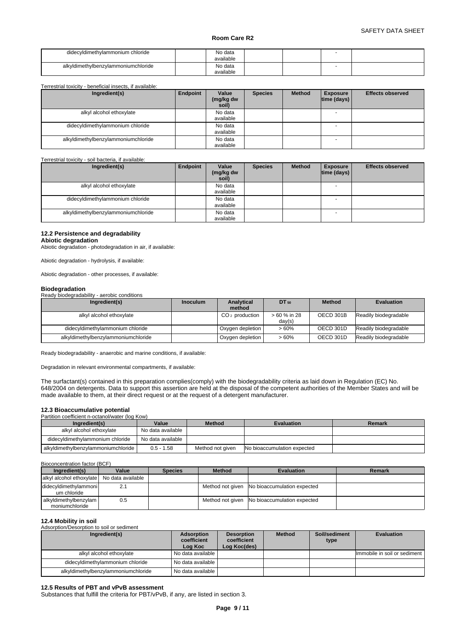| didecyldimethylammonium chloride    | No data<br>available |  |  |
|-------------------------------------|----------------------|--|--|
| alkyldimethylbenzylammoniumchloride | No data<br>available |  |  |

Terrestrial toxicity - beneficial insects, if available:

| Ingredient(s)                       | Endpoint | Value<br>(mg/kg dw<br>soil) | <b>Species</b> | <b>Method</b> | <b>Exposure</b><br> time (days) | <b>Effects observed</b> |
|-------------------------------------|----------|-----------------------------|----------------|---------------|---------------------------------|-------------------------|
| alkyl alcohol ethoxylate            |          | No data<br>available        |                |               |                                 |                         |
| didecyldimethylammonium chloride    |          | No data<br>available        |                |               |                                 |                         |
| alkyldimethylbenzylammoniumchloride |          | No data<br>available        |                |               |                                 |                         |

#### Terrestrial toxicity - soil bacteria, if available:

| Ingredient(s)                       | Endpoint | Value<br>(mg/kg dw<br>soil) | <b>Species</b> | <b>Method</b> | <b>Exposure</b><br> time (days) | <b>Effects observed</b> |
|-------------------------------------|----------|-----------------------------|----------------|---------------|---------------------------------|-------------------------|
| alkyl alcohol ethoxylate            |          | No data<br>available        |                |               | $\overline{\phantom{a}}$        |                         |
| didecyldimethylammonium chloride    |          | No data<br>available        |                |               |                                 |                         |
| alkyldimethylbenzylammoniumchloride |          | No data<br>available        |                |               |                                 |                         |

#### **12.2 Persistence and degradability**

**Abiotic degradation**

Abiotic degradation - photodegradation in air, if available:

Abiotic degradation - hydrolysis, if available:

Abiotic degradation - other processes, if available:

#### **Biodegradation**

Ready biodegradability - aerobic conditions

| Ingredient(s)                       | <b>Inoculum</b> | Analytical<br>method | $DT_{50}$              | <b>Method</b> | <b>Evaluation</b>     |
|-------------------------------------|-----------------|----------------------|------------------------|---------------|-----------------------|
| alkyl alcohol ethoxylate            |                 | $CO2$ production     | > 60 % in 28<br>day(s) | OECD 301B     | Readily biodegradable |
| didecyldimethylammonium chloride    |                 | Oxygen depletion     | $>60\%$                | OECD 301D     | Readily biodegradable |
| alkyldimethylbenzylammoniumchloride |                 | Oxygen depletion     | $>60\%$                | OECD 301D     | Readily biodegradable |

Ready biodegradability - anaerobic and marine conditions, if available:

Degradation in relevant environmental compartments, if available:

The surfactant(s) contained in this preparation complies(comply) with the biodegradability criteria as laid down in Regulation (EC) No. 648/2004 on detergents. Data to support this assertion are held at the disposal of the competent authorities of the Member States and will be made available to them, at their direct request or at the request of a detergent manufacturer.

### **12.3 Bioaccumulative potential**

Partition coefficient n-octanol/water (log Kow)

| Ingredient(s)                       | Value             | <b>Method</b>    | <b>Evaluation</b>                  | Remark |
|-------------------------------------|-------------------|------------------|------------------------------------|--------|
| alkvl alcohol ethoxvlate            | No data available |                  |                                    |        |
| didecyldimethylammonium chloride    | No data available |                  |                                    |        |
| alkyldimethylbenzylammoniumchloride | $0.5 - 1.58$      | Method not aiven | <b>No bioaccumulation expected</b> |        |

Bioconcentration factor (BCF)

| Ingredient(s)                              | Value | <b>Species</b> | <b>Method</b> | <b>Evaluation</b>                            | Remark |
|--------------------------------------------|-------|----------------|---------------|----------------------------------------------|--------|
| alkyl alcohol ethoxylate No data available |       |                |               |                                              |        |
| didecyldimethylammonil<br>um chloride      | 2.1   |                |               | Method not given No bioaccumulation expected |        |
| alkyldimethylbenzylam<br>moniumchloride    | 0.5   |                |               | Method not given No bioaccumulation expected |        |

## **12.4 Mobility in soil**

Adsorption/Desorption to soil or sediment

| Ingredient(s)                       | Adsorption<br>coefficient<br>Log Koc | <b>Desorption</b><br>coefficient<br>Log Koc(des) | <b>Method</b> | Soil/sediment<br>type | <b>Evaluation</b>            |
|-------------------------------------|--------------------------------------|--------------------------------------------------|---------------|-----------------------|------------------------------|
| alkyl alcohol ethoxylate            | No data available                    |                                                  |               |                       | Immobile in soil or sediment |
| didecyldimethylammonium chloride    | No data available                    |                                                  |               |                       |                              |
| alkyldimethylbenzylammoniumchloride | No data available                    |                                                  |               |                       |                              |

#### **12.5 Results of PBT and vPvB assessment**

Substances that fulfill the criteria for PBT/vPvB, if any, are listed in section 3.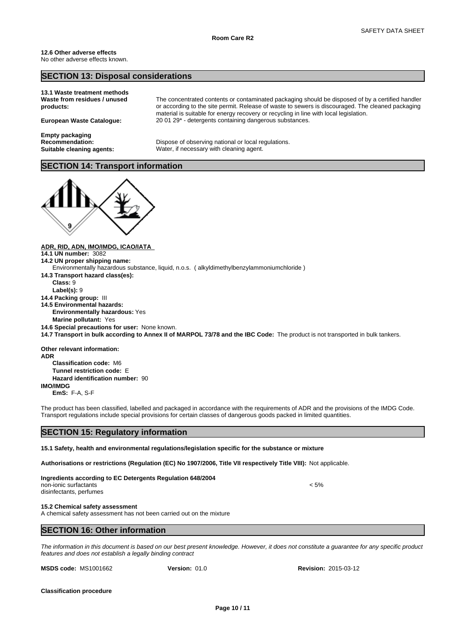## **SECTION 13: Disposal considerations**

| 13.1 Waste treatment methods<br>Waste from residues / unused<br>products: | The concentrated contents or contaminated packaging should be disposed of by a certified handler<br>or according to the site permit. Release of waste to sewers is discouraged. The cleaned packaging<br>material is suitable for energy recovery or recycling in line with local legislation. |
|---------------------------------------------------------------------------|------------------------------------------------------------------------------------------------------------------------------------------------------------------------------------------------------------------------------------------------------------------------------------------------|
| <b>European Waste Cataloque:</b>                                          | 20 01 29* - detergents containing dangerous substances.                                                                                                                                                                                                                                        |
| <b>Empty packaging</b>                                                    |                                                                                                                                                                                                                                                                                                |

**Recommendation:** Dispose of observing national or local regulations. **Suitable cleaning agents:** Water, if necessary with cleaning agent.

## **SECTION 14: Transport information**



**ADR, RID, ADN, IMO/IMDG, ICAO/IATA** 

- **14.1 UN number:** 3082
- **14.2 UN proper shipping name:**
- Environmentally hazardous substance, liquid, n.o.s. ( alkyldimethylbenzylammoniumchloride )
- **14.3 Transport hazard class(es):**
- **Class:** 9
- **Label(s):** 9
- **14.4 Packing group:** III
- **14.5 Environmental hazards: Environmentally hazardous:** Yes
	- **Marine pollutant:** Yes
- **14.6 Special precautions for user:** None known.
- **14.7 Transport in bulk according to Annex II of MARPOL 73/78 and the IBC Code:** The product is not transported in bulk tankers.

**Other relevant information:**

**ADR Classification code:** M6 **Tunnel restriction code:** E **Hazard identification number:** 90 **IMO/IMDG**

**EmS:** F-A, S-F

The product has been classified, labelled and packaged in accordance with the requirements of ADR and the provisions of the IMDG Code. Transport regulations include special provisions for certain classes of dangerous goods packed in limited quantities.

## **SECTION 15: Regulatory information**

**15.1 Safety, health and environmental regulations/legislation specific for the substance or mixture**

**Authorisations or restrictions (Regulation (EC) No 1907/2006, Title VII respectively Title VIII):** Not applicable.

#### **Ingredients according to EC Detergents Regulation 648/2004**

non-ionic surfactants < 5% disinfectants, perfumes

**15.2 Chemical safety assessment**

A chemical safety assessment has not been carried out on the mixture

## **SECTION 16: Other information**

*The information in this document is based on our best present knowledge. However, it does not constitute a guarantee for any specific product features and does not establish a legally binding contract*

**MSDS code: MS1001662 Version: 01.0** 

**Version:** 01.0 **Revision:** 2015-03-12

**Classification procedure**